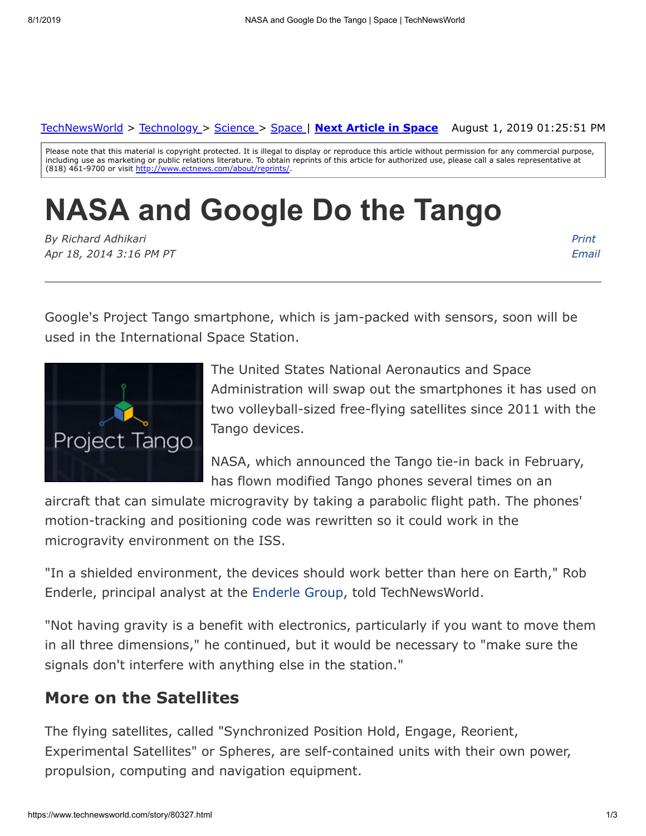August 1, 2019 01:25:51 PM [TechNewsWorld](https://www.technewsworld.com/) > [Technology](https://www.technewsworld.com/perl/section/technology/) > [Science](https://www.technewsworld.com/perl/section/science/) > [Space](https://www.technewsworld.com/perl/section/space/) | **[Next Article in Space](https://www.technewsworld.com/story/space/80301.html)**

Please note that this material is copyright protected. It is illegal to display or reproduce this article without permission for any commercial purpose, including use as marketing or public relations literature. To obtain reprints of this article for authorized use, please call a sales representative at (818) 461-9700 or visit <http://www.ectnews.com/about/reprints/>

# **NASA and Google Do the Tango**

*By Richard Adhikari Apr 18, 2014 3:16 PM PT* *Print [Email](https://www.technewsworld.com/perl/mailit/?id=80327)*

Google's Project Tango smartphone, which is jam-packed with sensors, soon will be used in the International Space Station.



The United States National Aeronautics and Space Administration will swap out the smartphones it has used on two volleyball-sized free-flying satellites since 2011 with the Tango devices.

NASA, which announced the Tango tie-in back in February, has flown modified Tango phones several times on an

aircraft that can simulate microgravity by taking a parabolic flight path. The phones' motion-tracking and positioning code was rewritten so it could work in the microgravity environment on the ISS.

"In a shielded environment, the devices should work better than here on Earth," Rob Enderle, principal analyst at the [Enderle Group](http://www.enderlegroup.com/), told TechNewsWorld.

"Not having gravity is a benefit with electronics, particularly if you want to move them in all three dimensions," he continued, but it would be necessary to "make sure the signals don't interfere with anything else in the station."

#### **More on the Satellites**

The flying satellites, called "Synchronized Position Hold, Engage, Reorient, Experimental Satellites" or Spheres, are self-contained units with their own power, propulsion, computing and navigation equipment.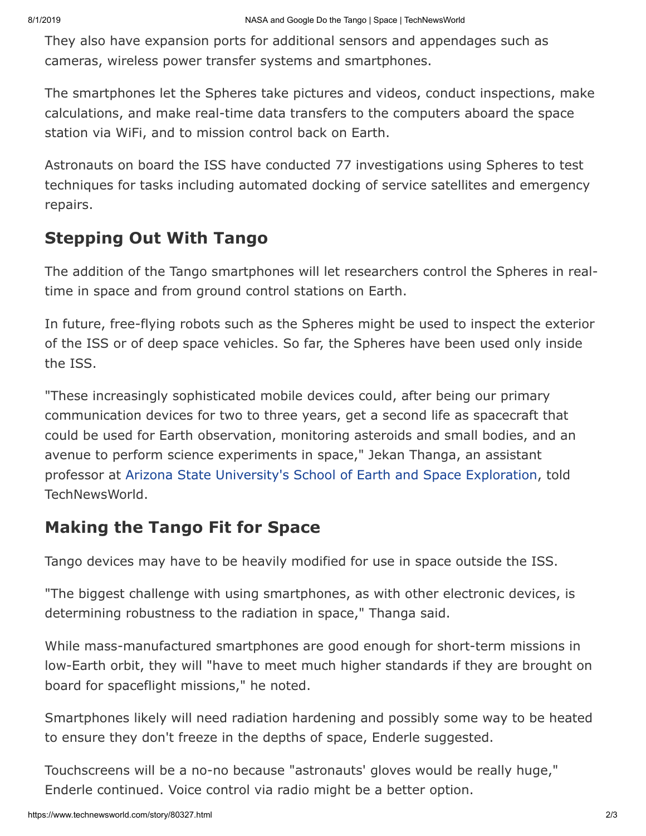They also have expansion ports for additional sensors and appendages such as cameras, wireless power transfer systems and smartphones.

The smartphones let the Spheres take pictures and videos, conduct inspections, make calculations, and make real-time data transfers to the computers aboard the space station via WiFi, and to mission control back on Earth.

Astronauts on board the ISS have conducted 77 investigations using Spheres to test techniques for tasks including automated docking of service satellites and emergency repairs.

## **Stepping Out With Tango**

The addition of the Tango smartphones will let researchers control the Spheres in realtime in space and from ground control stations on Earth.

In future, free-flying robots such as the Spheres might be used to inspect the exterior of the ISS or of deep space vehicles. So far, the Spheres have been used only inside the ISS.

"These increasingly sophisticated mobile devices could, after being our primary communication devices for two to three years, get a second life as spacecraft that could be used for Earth observation, monitoring asteroids and small bodies, and an avenue to perform science experiments in space," Jekan Thanga, an assistant professor at [Arizona State University's School of Earth and Space Exploration,](http://sese.asu.edu/) told TechNewsWorld.

### **Making the Tango Fit for Space**

Tango devices may have to be heavily modified for use in space outside the ISS.

"The biggest challenge with using smartphones, as with other electronic devices, is determining robustness to the radiation in space," Thanga said.

While mass-manufactured smartphones are good enough for short-term missions in low-Earth orbit, they will "have to meet much higher standards if they are brought on board for spaceflight missions," he noted.

Smartphones likely will need radiation hardening and possibly some way to be heated to ensure they don't freeze in the depths of space, Enderle suggested.

Touchscreens will be a no-no because "astronauts' gloves would be really huge," Enderle continued. Voice control via radio might be a better option.